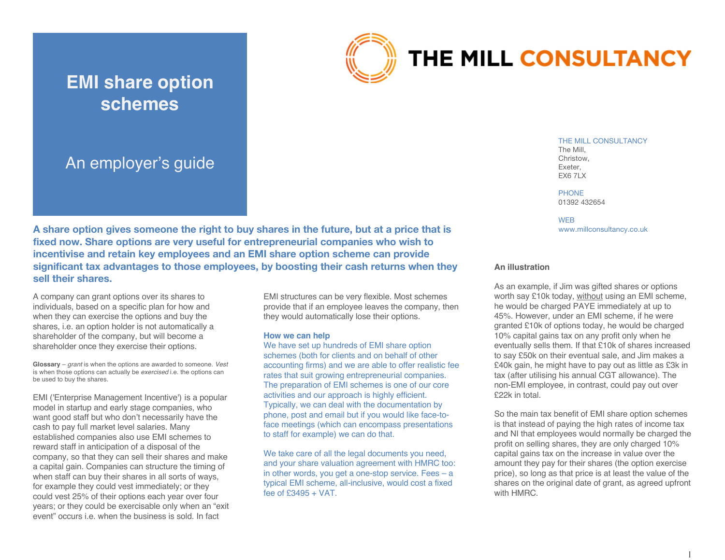

# THE MILL CONSULTANCY

# An employer's guide

**EMI share option** 

**schemes**

**A share option gives someone the right to buy shares in the future, but at a price that is fixed now. Share options are very useful for entrepreneurial companies who wish to incentivise and retain key employees and an EMI share option scheme can provide significant tax advantages to those employees, by boosting their cash returns when they sell their shares.**

A company can grant options over its shares to individuals, based on a specific plan for how and when they can exercise the options and buy the shares, i.e. an option holder is not automatically a shareholder of the company, but will become a shareholder once they exercise their options.

**Glossary** – *grant* is when the options are awarded to someone. *Vest*  is when those options can actually be *exercised* i.e. the options can be used to buy the shares.

EMI ('Enterprise Management Incentive') is a popular model in startup and early stage companies, who want good staff but who don't necessarily have the cash to pay full market level salaries. Many established companies also use EMI schemes to reward staff in anticipation of a disposal of the company, so that they can sell their shares and make a capital gain. Companies can structure the timing of when staff can buy their shares in all sorts of ways, for example they could vest immediately; or they could vest 25% of their options each year over four years; or they could be exercisable only when an "exit event" occurs i.e. when the business is sold. In fact

EMI structures can be very flexible. Most schemes provide that if an employee leaves the company, then they would automatically lose their options.

#### **How we can help**

We have set up hundreds of EMI share option schemes (both for clients and on behalf of other accounting firms) and we are able to offer realistic fee rates that suit growing entrepreneurial companies. The preparation of EMI schemes is one of our core activities and our approach is highly efficient. Typically, we can deal with the documentation by phone, post and email but if you would like face-toface meetings (which can encompass presentations to staff for example) we can do that.

We take care of all the legal documents you need, and your share valuation agreement with HMRC too: in other words, you get a one-stop service. Fees – a typical EMI scheme, all-inclusive, would cost a fixed fee of £3495 + VAT.

THE MILL CONSULTANCY The Mill, Christow, Exeter, **EX6 7LX** 

PHONE 01392 432654

**WEB** www.millconsultancy.co.uk

#### **An illustration**

As an example, if Jim was gifted shares or options worth say £10k today, without using an EMI scheme, he would be charged PAYE immediately at up to 45%. However, under an EMI scheme, if he were granted £10k of options today, he would be charged 10% capital gains tax on any profit only when he eventually sells them. If that £10k of shares increased to say £50k on their eventual sale, and Jim makes a £40k gain, he might have to pay out as little as £3k in tax (after utilising his annual CGT allowance). The non-EMI employee, in contrast, could pay out over £22k in total.

So the main tax benefit of EMI share option schemes is that instead of paying the high rates of income tax and NI that employees would normally be charged the profit on selling shares, they are only charged 10% capital gains tax on the increase in value over the amount they pay for their shares (the option exercise price), so long as that price is at least the value of the shares on the original date of grant, as agreed upfront with HMRC.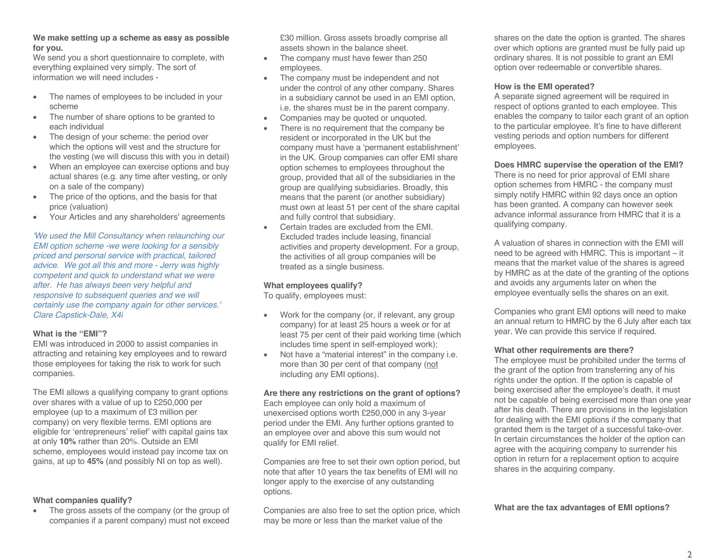#### **We make setting up a scheme as easy as possible for you.**

We send you a short questionnaire to complete, with everything explained very simply. The sort of information we will need includes -

- The names of employees to be included in your scheme
- The number of share options to be granted to each individual
- The design of your scheme: the period over which the options will vest and the structure for the vesting (we will discuss this with you in detail)
- When an employee can exercise options and buy actual shares (e.g. any time after vesting, or only on a sale of the company)
- The price of the options, and the basis for that price (valuation)
- Your Articles and any shareholders' agreements

*'We used the Mill Consultancy when relaunching our EMI option scheme -we were looking for a sensibly priced and personal service with practical, tailored advice. We got all this and more - Jerry was highly competent and quick to understand what we were after. He has always been very helpful and responsive to subsequent queries and we will certainly use the company again for other services.' Clare Capstick-Dale, X4i*

#### **What is the "EMI"?**

EMI was introduced in 2000 to assist companies in attracting and retaining key employees and to reward those employees for taking the risk to work for such companies.

The EMI allows a qualifying company to grant options over shares with a value of up to £250,000 per employee (up to a maximum of £3 million per company) on very flexible terms. EMI options are eligible for 'entrepreneurs' relief' with capital gains tax at only **10%** rather than 20%. Outside an EMI scheme, employees would instead pay income tax on gains, at up to **45%** (and possibly NI on top as well).

#### **What companies qualify?**

• The gross assets of the company (or the group of companies if a parent company) must not exceed £30 million. Gross assets broadly comprise all assets shown in the balance sheet.

- The company must have fewer than 250 employees.
- The company must be independent and not under the control of any other company. Shares in a subsidiary cannot be used in an EMI option, i.e. the shares must be in the parent company.
- Companies may be quoted or unquoted.
- There is no requirement that the company be resident or incorporated in the UK but the company must have a 'permanent establishment' in the UK. Group companies can offer EMI share option schemes to employees throughout the group, provided that all of the subsidiaries in the group are qualifying subsidiaries. Broadly, this means that the parent (or another subsidiary) must own at least 51 per cent of the share capital and fully control that subsidiary.
- Certain trades are excluded from the EMI. Excluded trades include leasing, financial activities and property development. For a group, the activities of all group companies will be treated as a single business.

### **What employees qualify?**

To qualify, employees must:

- Work for the company (or, if relevant, any group company) for at least 25 hours a week or for at least 75 per cent of their paid working time (which includes time spent in self-employed work);
- Not have a "material interest" in the company i.e. more than 30 per cent of that company (not including any EMI options).

**Are there any restrictions on the grant of options?** Each employee can only hold a maximum of unexercised options worth £250,000 in any 3-year period under the EMI. Any further options granted to an employee over and above this sum would not qualify for EMI relief.

Companies are free to set their own option period, but note that after 10 years the tax benefits of EMI will no longer apply to the exercise of any outstanding options.

Companies are also free to set the option price, which may be more or less than the market value of the

shares on the date the option is granted. The shares over which options are granted must be fully paid up ordinary shares. It is not possible to grant an EMI option over redeemable or convertible shares.

#### **How is the EMI operated?**

A separate signed agreement will be required in respect of options granted to each employee. This enables the company to tailor each grant of an option to the particular employee. It's fine to have different vesting periods and option numbers for different employees.

**Does HMRC supervise the operation of the EMI?**

There is no need for prior approval of EMI share option schemes from HMRC - the company must simply notify HMRC within 92 days once an option has been granted. A company can however seek advance informal assurance from HMRC that it is a qualifying company.

A valuation of shares in connection with the EMI will need to be agreed with HMRC. This is important – it means that the market value of the shares is agreed by HMRC as at the date of the granting of the options and avoids any arguments later on when the employee eventually sells the shares on an exit.

Companies who grant EMI options will need to make an annual return to HMRC by the 6 July after each tax year. We can provide this service if required.

#### **What other requirements are there?**

The employee must be prohibited under the terms of the grant of the option from transferring any of his rights under the option. If the option is capable of being exercised after the employee's death, it must not be capable of being exercised more than one year after his death. There are provisions in the legislation for dealing with the EMI options if the company that granted them is the target of a successful take-over. In certain circumstances the holder of the option can agree with the acquiring company to surrender his option in return for a replacement option to acquire shares in the acquiring company.

**What are the tax advantages of EMI options?**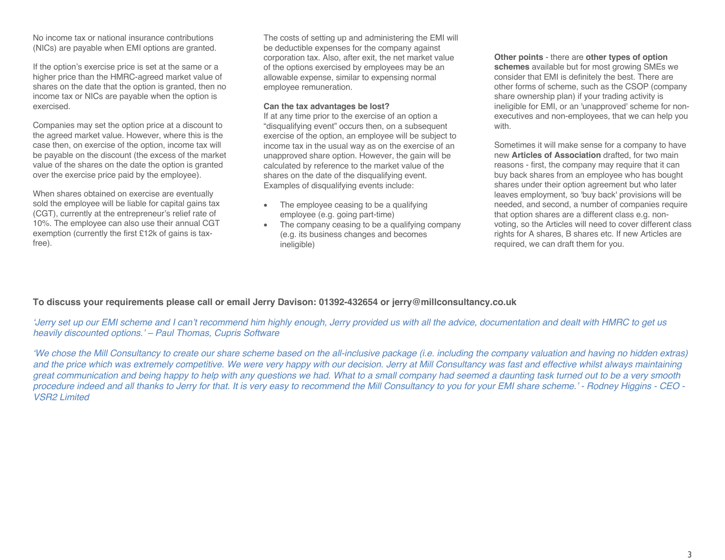No income tax or national insurance contributions (NICs) are payable when EMI options are granted.

If the option's exercise price is set at the same or a higher price than the HMRC-agreed market value of shares on the date that the option is granted, then no income tax or NICs are payable when the option is exercised.

Companies may set the option price at a discount to the agreed market value. However, where this is the case then, on exercise of the option, income tax will be payable on the discount (the excess of the market value of the shares on the date the option is granted over the exercise price paid by the employee).

When shares obtained on exercise are eventually sold the employee will be liable for capital gains tax (CGT), currently at the entrepreneur's relief rate of 10%. The employee can also use their annual CGT exemption (currently the first £12k of gains is taxfree).

The costs of setting up and administering the EMI will be deductible expenses for the company against corporation tax. Also, after exit, the net market value of the options exercised by employees may be an allowable expense, similar to expensing normal employee remuneration.

#### **Can the tax advantages be lost?**

If at any time prior to the exercise of an option a "disqualifying event" occurs then, on a subsequent exercise of the option, an employee will be subject to income tax in the usual way as on the exercise of an unapproved share option. However, the gain will be calculated by reference to the market value of the shares on the date of the disqualifying event. Examples of disqualifying events include:

- The employee ceasing to be a qualifying employee (e.g. going part-time)
- The company ceasing to be a qualifying company (e.g. its business changes and becomes ineligible)

#### **Other points** - there are **other types of option**

**schemes** available but for most growing SMEs we consider that EMI is definitely the best. There are other forms of scheme, such as the CSOP (company share ownership plan) if your trading activity is ineligible for EMI, or an 'unapproved' scheme for nonexecutives and non-employees, that we can help you with.

Sometimes it will make sense for a company to have new **Articles of Association** drafted, for two main reasons - first, the company may require that it can buy back shares from an employee who has bought shares under their option agreement but who later leaves employment, so 'buy back' provisions will be needed, and second, a number of companies require that option shares are a different class e.g. nonvoting, so the Articles will need to cover different class rights for A shares, B shares etc. If new Articles are required, we can draft them for you.

# **To discuss your requirements please call or email Jerry Davison: 01392-432654 or jerry@millconsultancy.co.uk**

*'Jerry set up our EMI scheme and I can't recommend him highly enough, Jerry provided us with all the advice, documentation and dealt with HMRC to get us heavily discounted options.' – Paul Thomas, Cupris Software*

*'We chose the Mill Consultancy to create our share scheme based on the all-inclusive package (i.e. including the company valuation and having no hidden extras) and the price which was extremely competitive. We were very happy with our decision. Jerry at Mill Consultancy was fast and effective whilst always maintaining great communication and being happy to help with any questions we had. What to a small company had seemed a daunting task turned out to be a very smooth procedure indeed and all thanks to Jerry for that. It is very easy to recommend the Mill Consultancy to you for your EMI share scheme.' - Rodney Higgins - CEO - VSR2 Limited*